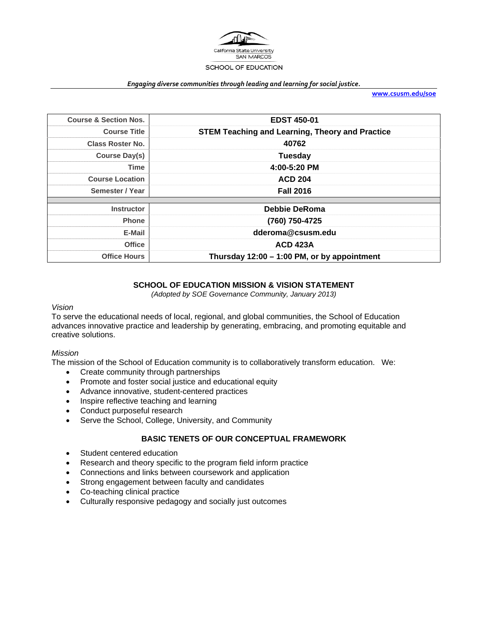

#### *Engaging diverse communities through leading and learning for social justice.*

**www.csusm.edu/soe**

| <b>Course &amp; Section Nos.</b> | <b>EDST 450-01</b>                                     |
|----------------------------------|--------------------------------------------------------|
| <b>Course Title</b>              | <b>STEM Teaching and Learning, Theory and Practice</b> |
| <b>Class Roster No.</b>          | 40762                                                  |
| Course Day(s)                    | <b>Tuesday</b>                                         |
| Time                             | 4:00-5:20 PM                                           |
| <b>Course Location</b>           | <b>ACD 204</b>                                         |
| Semester / Year                  | <b>Fall 2016</b>                                       |
| <b>Instructor</b>                | Debbie DeRoma                                          |
| <b>Phone</b>                     | (760) 750-4725                                         |
| E-Mail                           | dderoma@csusm.edu                                      |
| <b>Office</b>                    | <b>ACD 423A</b>                                        |
| <b>Office Hours</b>              | Thursday 12:00 - 1:00 PM, or by appointment            |

## **SCHOOL OF EDUCATION MISSION & VISION STATEMENT**

*(Adopted by SOE Governance Community, January 2013)* 

#### *Vision*

To serve the educational needs of local, regional, and global communities, the School of Education advances innovative practice and leadership by generating, embracing, and promoting equitable and creative solutions.

#### *Mission*

The mission of the School of Education community is to collaboratively transform education. We:

- Create community through partnerships
- Promote and foster social justice and educational equity
- Advance innovative, student-centered practices
- Inspire reflective teaching and learning
- Conduct purposeful research
- Serve the School, College, University, and Community

## **BASIC TENETS OF OUR CONCEPTUAL FRAMEWORK**

- Student centered education
- Research and theory specific to the program field inform practice
- Connections and links between coursework and application
- Strong engagement between faculty and candidates
- Co-teaching clinical practice
- Culturally responsive pedagogy and socially just outcomes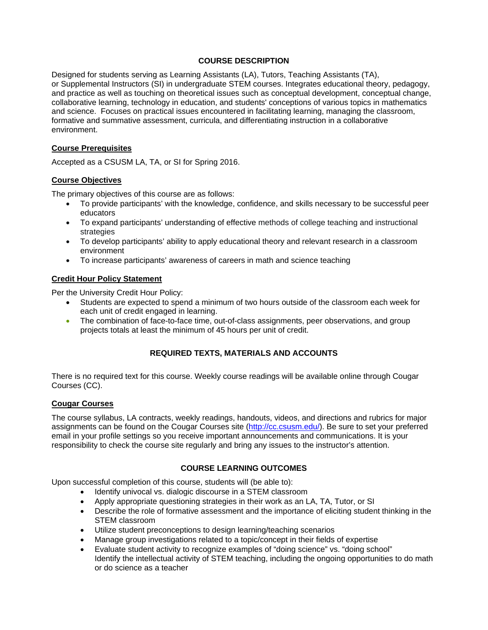## **COURSE DESCRIPTION**

Designed for students serving as Learning Assistants (LA), Tutors, Teaching Assistants (TA), or Supplemental Instructors (SI) in undergraduate STEM courses. Integrates educational theory, pedagogy, and practice as well as touching on theoretical issues such as conceptual development, conceptual change, collaborative learning, technology in education, and students' conceptions of various topics in mathematics and science. Focuses on practical issues encountered in facilitating learning, managing the classroom, formative and summative assessment, curricula, and differentiating instruction in a collaborative environment.

### **Course Prerequisites**

Accepted as a CSUSM LA, TA, or SI for Spring 2016.

#### **Course Objectives**

The primary objectives of this course are as follows:

- To provide participants' with the knowledge, confidence, and skills necessary to be successful peer educators
- To expand participants' understanding of effective methods of college teaching and instructional strategies
- To develop participants' ability to apply educational theory and relevant research in a classroom environment
- To increase participants' awareness of careers in math and science teaching

#### **Credit Hour Policy Statement**

Per the University Credit Hour Policy:

- Students are expected to spend a minimum of two hours outside of the classroom each week for each unit of credit engaged in learning.
- The combination of face-to-face time, out-of-class assignments, peer observations, and group projects totals at least the minimum of 45 hours per unit of credit.

## **REQUIRED TEXTS, MATERIALS AND ACCOUNTS**

There is no required text for this course. Weekly course readings will be available online through Cougar Courses (CC).

#### **Cougar Courses**

The course syllabus, LA contracts, weekly readings, handouts, videos, and directions and rubrics for major assignments can be found on the Cougar Courses site (http://cc.csusm.edu/). Be sure to set your preferred email in your profile settings so you receive important announcements and communications. It is your responsibility to check the course site regularly and bring any issues to the instructor's attention.

## **COURSE LEARNING OUTCOMES**

Upon successful completion of this course, students will (be able to):

- Identify univocal vs. dialogic discourse in a STEM classroom
- Apply appropriate questioning strategies in their work as an LA, TA, Tutor, or SI
- Describe the role of formative assessment and the importance of eliciting student thinking in the STEM classroom
- Utilize student preconceptions to design learning/teaching scenarios
- Manage group investigations related to a topic/concept in their fields of expertise
- Evaluate student activity to recognize examples of "doing science" vs. "doing school" Identify the intellectual activity of STEM teaching, including the ongoing opportunities to do math or do science as a teacher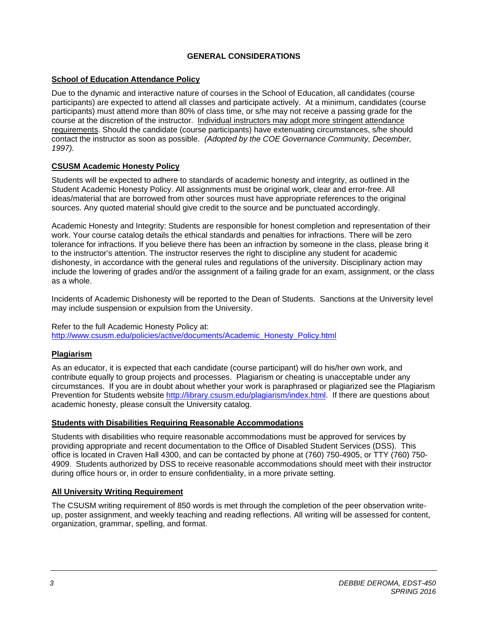## **GENERAL CONSIDERATIONS**

## **School of Education Attendance Policy**

Due to the dynamic and interactive nature of courses in the School of Education, all candidates (course participants) are expected to attend all classes and participate actively. At a minimum, candidates (course participants) must attend more than 80% of class time, or s/he may not receive a passing grade for the course at the discretion of the instructor. Individual instructors may adopt more stringent attendance requirements. Should the candidate (course participants) have extenuating circumstances, s/he should contact the instructor as soon as possible. *(Adopted by the COE Governance Community, December, 1997).*

## **CSUSM Academic Honesty Policy**

Students will be expected to adhere to standards of academic honesty and integrity, as outlined in the Student Academic Honesty Policy. All assignments must be original work, clear and error-free. All ideas/material that are borrowed from other sources must have appropriate references to the original sources. Any quoted material should give credit to the source and be punctuated accordingly.

Academic Honesty and Integrity: Students are responsible for honest completion and representation of their work. Your course catalog details the ethical standards and penalties for infractions. There will be zero tolerance for infractions. If you believe there has been an infraction by someone in the class, please bring it to the instructor's attention. The instructor reserves the right to discipline any student for academic dishonesty, in accordance with the general rules and regulations of the university. Disciplinary action may include the lowering of grades and/or the assignment of a failing grade for an exam, assignment, or the class as a whole.

Incidents of Academic Dishonesty will be reported to the Dean of Students. Sanctions at the University level may include suspension or expulsion from the University.

#### Refer to the full Academic Honesty Policy at: http://www.csusm.edu/policies/active/documents/Academic\_Honesty\_Policy.html

## **Plagiarism**

As an educator, it is expected that each candidate (course participant) will do his/her own work, and contribute equally to group projects and processes. Plagiarism or cheating is unacceptable under any circumstances. If you are in doubt about whether your work is paraphrased or plagiarized see the Plagiarism Prevention for Students website http://library.csusm.edu/plagiarism/index.html. If there are questions about academic honesty, please consult the University catalog.

## **Students with Disabilities Requiring Reasonable Accommodations**

Students with disabilities who require reasonable accommodations must be approved for services by providing appropriate and recent documentation to the Office of Disabled Student Services (DSS). This office is located in Craven Hall 4300, and can be contacted by phone at (760) 750-4905, or TTY (760) 750- 4909. Students authorized by DSS to receive reasonable accommodations should meet with their instructor during office hours or, in order to ensure confidentiality, in a more private setting.

## **All University Writing Requirement**

The CSUSM writing requirement of 850 words is met through the completion of the peer observation writeup, poster assignment, and weekly teaching and reading reflections. All writing will be assessed for content, organization, grammar, spelling, and format.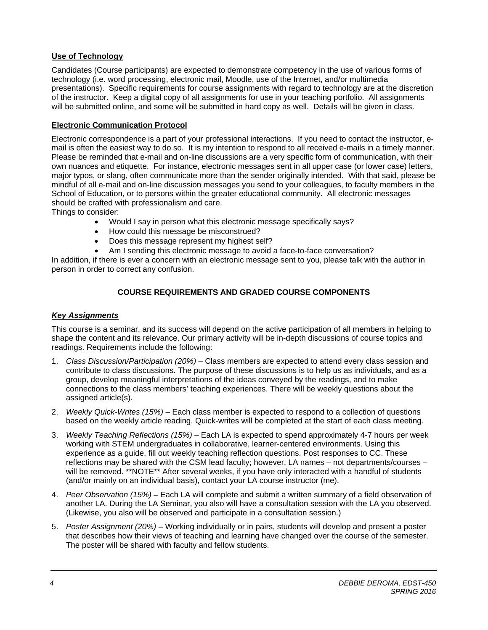## **Use of Technology**

Candidates (Course participants) are expected to demonstrate competency in the use of various forms of technology (i.e. word processing, electronic mail, Moodle, use of the Internet, and/or multimedia presentations). Specific requirements for course assignments with regard to technology are at the discretion of the instructor. Keep a digital copy of all assignments for use in your teaching portfolio. All assignments will be submitted online, and some will be submitted in hard copy as well. Details will be given in class.

## **Electronic Communication Protocol**

Electronic correspondence is a part of your professional interactions. If you need to contact the instructor, email is often the easiest way to do so. It is my intention to respond to all received e-mails in a timely manner. Please be reminded that e-mail and on-line discussions are a very specific form of communication, with their own nuances and etiquette. For instance, electronic messages sent in all upper case (or lower case) letters, major typos, or slang, often communicate more than the sender originally intended. With that said, please be mindful of all e-mail and on-line discussion messages you send to your colleagues, to faculty members in the School of Education, or to persons within the greater educational community. All electronic messages should be crafted with professionalism and care.

Things to consider:

- Would I say in person what this electronic message specifically says?
- How could this message be misconstrued?
- Does this message represent my highest self?
- Am I sending this electronic message to avoid a face-to-face conversation?

In addition, if there is ever a concern with an electronic message sent to you, please talk with the author in person in order to correct any confusion.

## **COURSE REQUIREMENTS AND GRADED COURSE COMPONENTS**

## *Key Assignments*

This course is a seminar, and its success will depend on the active participation of all members in helping to shape the content and its relevance. Our primary activity will be in-depth discussions of course topics and readings. Requirements include the following:

- 1. *Class Discussion/Participation (20%) –* Class members are expected to attend every class session and contribute to class discussions. The purpose of these discussions is to help us as individuals, and as a group, develop meaningful interpretations of the ideas conveyed by the readings, and to make connections to the class members' teaching experiences. There will be weekly questions about the assigned article(s).
- 2. *Weekly Quick-Writes (15%) –* Each class member is expected to respond to a collection of questions based on the weekly article reading. Quick-writes will be completed at the start of each class meeting.
- 3. *Weekly Teaching Reflections (15%) –* Each LA is expected to spend approximately 4-7 hours per week working with STEM undergraduates in collaborative, learner-centered environments. Using this experience as a guide, fill out weekly teaching reflection questions. Post responses to CC. These reflections may be shared with the CSM lead faculty; however, LA names – not departments/courses – will be removed. \*\*NOTE\*\* After several weeks, if you have only interacted with a handful of students (and/or mainly on an individual basis), contact your LA course instructor (me).
- 4. *Peer Observation (15%) –* Each LA will complete and submit a written summary of a field observation of another LA. During the LA Seminar, you also will have a consultation session with the LA you observed. (Likewise, you also will be observed and participate in a consultation session.)
- 5. *Poster Assignment (20%)* Working individually or in pairs, students will develop and present a poster that describes how their views of teaching and learning have changed over the course of the semester. The poster will be shared with faculty and fellow students.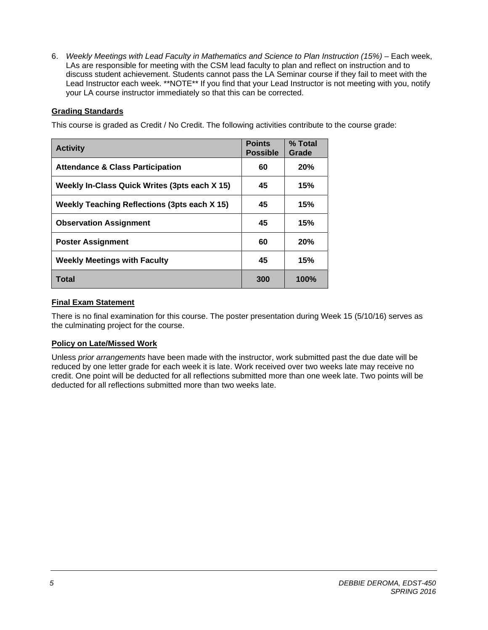6. *Weekly Meetings with Lead Faculty in Mathematics and Science to Plan Instruction (15%) –* Each week, LAs are responsible for meeting with the CSM lead faculty to plan and reflect on instruction and to discuss student achievement. Students cannot pass the LA Seminar course if they fail to meet with the Lead Instructor each week. \*\*NOTE\*\* If you find that your Lead Instructor is not meeting with you, notify your LA course instructor immediately so that this can be corrected.

## **Grading Standards**

This course is graded as Credit / No Credit. The following activities contribute to the course grade:

| <b>Activity</b>                                     | <b>Points</b><br><b>Possible</b> | % Total<br>Grade |
|-----------------------------------------------------|----------------------------------|------------------|
| <b>Attendance &amp; Class Participation</b>         | 60                               | 20%              |
| Weekly In-Class Quick Writes (3pts each X 15)       | 45                               | 15%              |
| <b>Weekly Teaching Reflections (3pts each X 15)</b> | 45                               | 15%              |
| <b>Observation Assignment</b>                       | 45                               | 15%              |
| <b>Poster Assignment</b>                            | 60                               | 20%              |
| <b>Weekly Meetings with Faculty</b>                 | 45                               | 15%              |
| Total                                               | 300                              | <b>100%</b>      |

## **Final Exam Statement**

There is no final examination for this course. The poster presentation during Week 15 (5/10/16) serves as the culminating project for the course.

## **Policy on Late/Missed Work**

Unless *prior arrangements* have been made with the instructor, work submitted past the due date will be reduced by one letter grade for each week it is late. Work received over two weeks late may receive no credit. One point will be deducted for all reflections submitted more than one week late. Two points will be deducted for all reflections submitted more than two weeks late.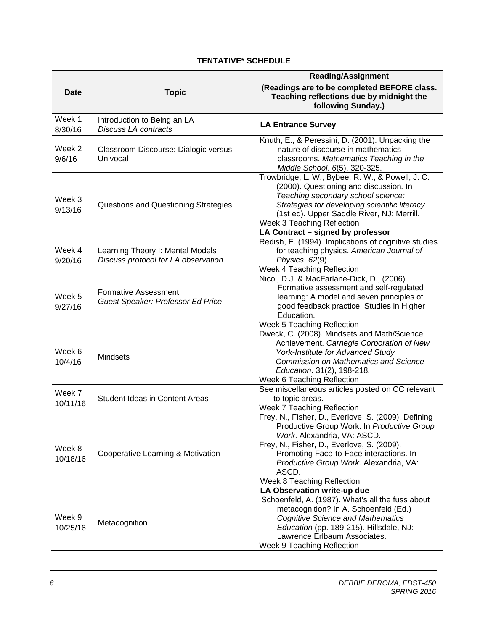# **TENTATIVE\* SCHEDULE**

|                    |                                                                         | <b>Reading/Assignment</b>                                                                                                                                                                                                                                                                                                                 |  |
|--------------------|-------------------------------------------------------------------------|-------------------------------------------------------------------------------------------------------------------------------------------------------------------------------------------------------------------------------------------------------------------------------------------------------------------------------------------|--|
| <b>Date</b>        | <b>Topic</b>                                                            | (Readings are to be completed BEFORE class.<br>Teaching reflections due by midnight the<br>following Sunday.)                                                                                                                                                                                                                             |  |
| Week 1<br>8/30/16  | Introduction to Being an LA<br>Discuss LA contracts                     | <b>LA Entrance Survey</b>                                                                                                                                                                                                                                                                                                                 |  |
| Week 2<br>9/6/16   | Classroom Discourse: Dialogic versus<br>Univocal                        | Knuth, E., & Peressini, D. (2001). Unpacking the<br>nature of discourse in mathematics<br>classrooms. Mathematics Teaching in the<br>Middle School. 6(5). 320-325.                                                                                                                                                                        |  |
| Week 3<br>9/13/16  | Questions and Questioning Strategies                                    | Trowbridge, L. W., Bybee, R. W., & Powell, J. C.<br>(2000). Questioning and discussion. In<br>Teaching secondary school science:<br>Strategies for developing scientific literacy<br>(1st ed). Upper Saddle River, NJ: Merrill.<br>Week 3 Teaching Reflection<br>LA Contract - signed by professor                                        |  |
| Week 4<br>9/20/16  | Learning Theory I: Mental Models<br>Discuss protocol for LA observation | Redish, E. (1994). Implications of cognitive studies<br>for teaching physics. American Journal of<br>Physics. 62(9).<br>Week 4 Teaching Reflection                                                                                                                                                                                        |  |
| Week 5<br>9/27/16  | <b>Formative Assessment</b><br>Guest Speaker: Professor Ed Price        | Nicol, D.J. & MacFarlane-Dick, D., (2006).<br>Formative assessment and self-regulated<br>learning: A model and seven principles of<br>good feedback practice. Studies in Higher<br>Education.<br>Week 5 Teaching Reflection                                                                                                               |  |
| Week 6<br>10/4/16  | <b>Mindsets</b>                                                         | Dweck, C. (2008). Mindsets and Math/Science<br>Achievement. Carnegie Corporation of New<br>York-Institute for Advanced Study<br><b>Commission on Mathematics and Science</b><br>Education. 31(2), 198-218.<br>Week 6 Teaching Reflection                                                                                                  |  |
| Week 7<br>10/11/16 | <b>Student Ideas in Content Areas</b>                                   | See miscellaneous articles posted on CC relevant<br>to topic areas.<br>Week 7 Teaching Reflection                                                                                                                                                                                                                                         |  |
| Week 8<br>10/18/16 | Cooperative Learning & Motivation                                       | Frey, N., Fisher, D., Everlove, S. (2009). Defining<br>Productive Group Work. In Productive Group<br>Work. Alexandria, VA: ASCD.<br>Frey, N., Fisher, D., Everlove, S. (2009).<br>Promoting Face-to-Face interactions. In<br>Productive Group Work. Alexandria, VA:<br>ASCD.<br>Week 8 Teaching Reflection<br>LA Observation write-up due |  |
| Week 9<br>10/25/16 | Metacognition                                                           | Schoenfeld, A. (1987). What's all the fuss about<br>metacognition? In A. Schoenfeld (Ed.)<br><b>Cognitive Science and Mathematics</b><br>Education (pp. 189-215). Hillsdale, NJ:<br>Lawrence Erlbaum Associates.<br>Week 9 Teaching Reflection                                                                                            |  |